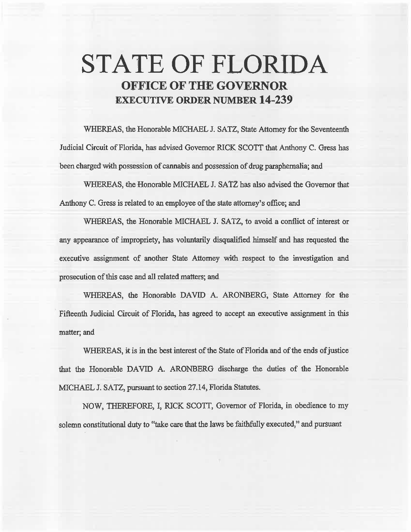# **,STATE OF FLORIDA OFFICE OF THE GOVERNOR EXECUTIVE ORDER NUMBER 14-239**

WHEREAS, the Honorable MICHAEL J. SATZ, State Attorney for the Seventeenth Judicial Circuit of Florida, has advised Governor RICK SCOTT that Anthony C. Gress has been charged with possession of cannabis and possession of drug paraphernalia; and

WHEREAS, the Honorable MICHAEL J. SATZ has also advised the Governor that Anthony C. Gress is related to an employee of the state attorney's office; and

WHEREAS; the Honorable MICHAEL J. SATZ, to avoid a conflict of interest or any appearance of impropriety, has voluntarily disqualified himself and has requested the executive assignment of another State Attorney with respect to the investigation and prosecution of this case and all related matters; and

WHEREAS, the Honorable DAVID A. ARONBERG, State Attorney for the Fifteenth Judicial Circuit of Florida, has agreed to accept an executive assignment in this matter; and

WHEREAS, it is in the best interest of the State of Florida and of the ends of justice that the Honorable DAVID A. ARONBERG discharge the duties of the Honorable MICHAEL J. SATZ, pursuant to section 27.14, Florida Statutes.

NOW, THEREFORE, I, RICK SCOTI, Governor of Florida, in obedience to my solemn constitutional duty to "take care that the laws be faithfully executed," and pursuant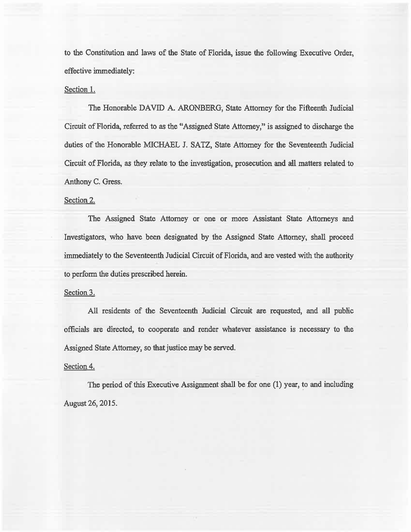to the Constitution and laws of the State of Florida, issue the following Executive Order, effective immediately:

## Section l.

The Honorable DAVID A. ARONBERG, State Attomey for the Fifteenth Judicial Circuit of Florida, referred to as the ''Assigned State Attorney," is assigned to discharge the duties of the Honorable MICHAEL J. SATZ, State Attorney for the Seventeenth Judicial Circuit of Florida, as they relate to the investigation, prosecution and all matters related to Anthony C. Gress.

## Section 2.

The Assigned State Attorney or one or more Assistant State Attorneys and Investigators, who have been designated by the Assigned State Attorney, shatl proceed immediately to the Seventeenth. Judicial Circuit of Florida, and are vested with the authority to perform the duties prescribed herein.

### Section 3.

All residents of the Seventeenth Judicial Circuit are requested, and all public officials are directed, to cooperate and render whatever assistance is necessary to the Assigned State Attorney, so that justice may be served.

### Section 4.

The period of this Executive Assignment shall be for one (1) year, to and including August 26, 2015.